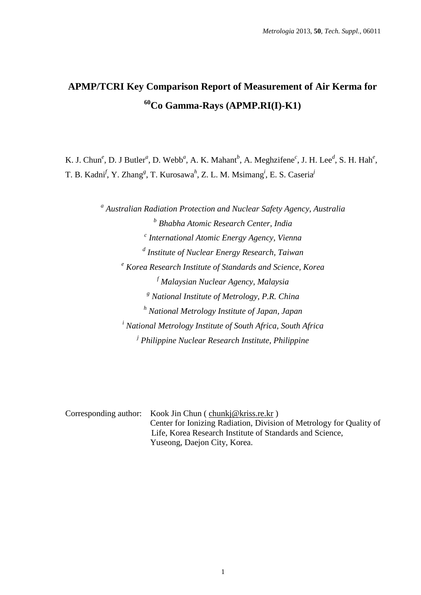# **APMP/TCRI Key Comparison Report of Measurement of Air Kerma for <sup>60</sup>Co Gamma-Rays (APMP.RI(I)-K1)**

K. J. Chun<sup>e</sup>, D. J Butler<sup>a</sup>, D. Webb<sup>a</sup>, A. K. Mahant<sup>b</sup>, A. Meghzifene<sup>c</sup>, J. H. Lee<sup>d</sup>, S. H. Hah<sup>e</sup>, T. B. Kadni<sup>f</sup>, Y. Zhang<sup>g</sup>, T. Kurosawa<sup>h</sup>, Z. L. M. Msimang<sup>i</sup>, E. S. Caseria<sup>j</sup>

> *a Australian Radiation Protection and Nuclear Safety Agency, Australia b Bhabha Atomic Research Center, India c International Atomic Energy Agency, Vienna d Institute of Nuclear Energy Research, Taiwan <sup>e</sup> Korea Research Institute of Standards and Science, Korea <sup>f</sup> Malaysian Nuclear Agency, Malaysia <sup>g</sup> National Institute of Metrology, P.R. China <sup>h</sup> National Metrology Institute of Japan, Japan <sup>i</sup> National Metrology Institute of South Africa, South Africa j Philippine Nuclear Research Institute, Philippine*

| Corresponding author: Kook Jin Chun (chunkj@kriss.re.kr)            |
|---------------------------------------------------------------------|
| Center for Ionizing Radiation, Division of Metrology for Quality of |
| Life, Korea Research Institute of Standards and Science,            |
| Yuseong, Daejon City, Korea.                                        |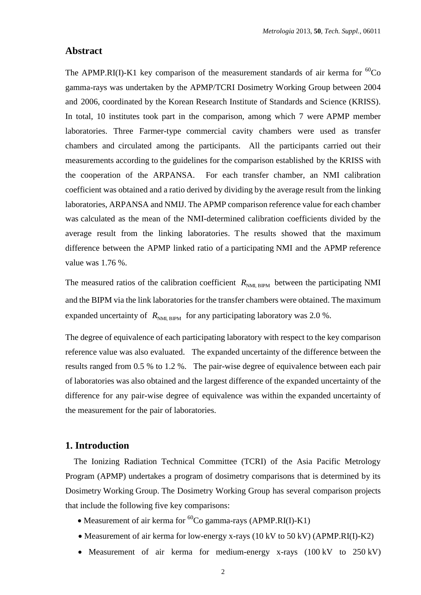## **Abstract**

The APMP.RI(I)-K1 key comparison of the measurement standards of air kerma for  ${}^{60}Co$ gamma-rays was undertaken by the APMP/TCRI Dosimetry Working Group between 2004 and 2006, coordinated by the Korean Research Institute of Standards and Science (KRISS). In total, 10 institutes took part in the comparison, among which 7 were APMP member laboratories. Three Farmer-type commercial cavity chambers were used as transfer chambers and circulated among the participants. All the participants carried out their measurements according to the guidelines for the comparison established by the KRISS with the cooperation of the ARPANSA. For each transfer chamber, an NMI calibration coefficient was obtained and a ratio derived by dividing by the average result from the linking laboratories, ARPANSA and NMIJ. The APMP comparison reference value for each chamber was calculated as the mean of the NMI-determined calibration coefficients divided by the average result from the linking laboratories. The results showed that the maximum difference between the APMP linked ratio of a participating NMI and the APMP reference value was 1.76 %.

The measured ratios of the calibration coefficient  $R_{NML, BIPM}$  between the participating NMI and the BIPM via the link laboratories for the transfer chambers were obtained. The maximum expanded uncertainty of  $R_{NM, BIPM}$  for any participating laboratory was 2.0 %.

The degree of equivalence of each participating laboratory with respect to the key comparison reference value was also evaluated. The expanded uncertainty of the difference between the results ranged from 0.5 % to 1.2 %. The pair-wise degree of equivalence between each pair of laboratories was also obtained and the largest difference of the expanded uncertainty of the difference for any pair-wise degree of equivalence was within the expanded uncertainty of the measurement for the pair of laboratories.

### **1. Introduction**

The Ionizing Radiation Technical Committee (TCRI) of the Asia Pacific Metrology Program (APMP) undertakes a program of dosimetry comparisons that is determined by its Dosimetry Working Group. The Dosimetry Working Group has several comparison projects that include the following five key comparisons:

- Measurement of air kerma for  ${}^{60}Co$  gamma-rays (APMP.RI(I)-K1)
- Measurement of air kerma for low-energy x-rays (10 kV to 50 kV) (APMP.RI(I)-K2)
- Measurement of air kerma for medium-energy x-rays (100 kV to 250 kV)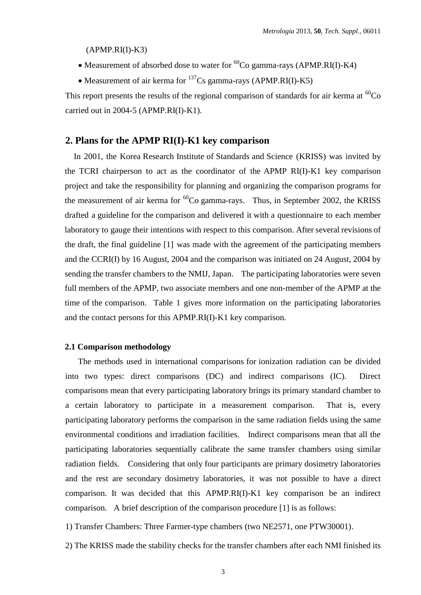$(APMP.RI(I)-K3)$ 

- Measurement of absorbed dose to water for  ${}^{60}Co$  gamma-rays (APMP.RI(I)-K4)
- Measurement of air kerma for  $^{137}Cs$  gamma-rays (APMP.RI(I)-K5)

This report presents the results of the regional comparison of standards for air kerma at  ${}^{60}Co$ carried out in 2004-5 (APMP.RI(I)-K1).

#### **2. Plans for the APMP RI(I)-K1 key comparison**

In 2001, the Korea Research Institute of Standards and Science (KRISS) was invited by the TCRI chairperson to act as the coordinator of the APMP RI(I)-K1 key comparison project and take the responsibility for planning and organizing the comparison programs for the measurement of air kerma for  ${}^{60}Co$  gamma-rays. Thus, in September 2002, the KRISS drafted a guideline for the comparison and delivered it with a questionnaire to each member laboratory to gauge their intentions with respect to this comparison. After several revisions of the draft, the final guideline [1] was made with the agreement of the participating members and the CCRI(I) by 16 August, 2004 and the comparison was initiated on 24 August, 2004 by sending the transfer chambers to the NMIJ, Japan. The participating laboratories were seven full members of the APMP, two associate members and one non-member of the APMP at the time of the comparison. Table 1 gives more information on the participating laboratories and the contact persons for this APMP.RI(I)-K1 key comparison.

#### **2.1 Comparison methodology**

The methods used in international comparisons for ionization radiation can be divided into two types: direct comparisons (DC) and indirect comparisons (IC). Direct comparisons mean that every participating laboratory brings its primary standard chamber to a certain laboratory to participate in a measurement comparison. That is, every participating laboratory performs the comparison in the same radiation fields using the same environmental conditions and irradiation facilities. Indirect comparisons mean that all the participating laboratories sequentially calibrate the same transfer chambers using similar radiation fields. Considering that only four participants are primary dosimetry laboratories and the rest are secondary dosimetry laboratories, it was not possible to have a direct comparison. It was decided that this APMP.RI(I)-K1 key comparison be an indirect comparison. A brief description of the comparison procedure [1] is as follows:

1) Transfer Chambers: Three Farmer-type chambers (two NE2571, one PTW30001).

2) The KRISS made the stability checks for the transfer chambers after each NMI finished its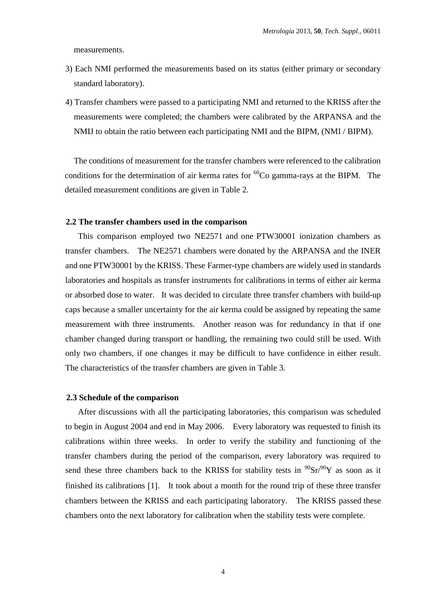measurements.

- 3) Each NMI performed the measurements based on its status (either primary or secondary standard laboratory).
- 4) Transfer chambers were passed to a participating NMI and returned to the KRISS after the measurements were completed; the chambers were calibrated by the ARPANSA and the NMIJ to obtain the ratio between each participating NMI and the BIPM, (NMI / BIPM).

The conditions of measurement for the transfer chambers were referenced to the calibration conditions for the determination of air kerma rates for  ${}^{60}Co$  gamma-rays at the BIPM. The detailed measurement conditions are given in Table 2.

#### **2.2 The transfer chambers used in the comparison**

This comparison employed two NE2571 and one PTW30001 ionization chambers as transfer chambers. The NE2571 chambers were donated by the ARPANSA and the INER and one PTW30001 by the KRISS. These Farmer-type chambers are widely used in standards laboratories and hospitals as transfer instruments for calibrations in terms of either air kerma or absorbed dose to water. It was decided to circulate three transfer chambers with build-up caps because a smaller uncertainty for the air kerma could be assigned by repeating the same measurement with three instruments. Another reason was for redundancy in that if one chamber changed during transport or handling, the remaining two could still be used. With only two chambers, if one changes it may be difficult to have confidence in either result. The characteristics of the transfer chambers are given in Table 3.

#### **2.3 Schedule of the comparison**

After discussions with all the participating laboratories, this comparison was scheduled to begin in August 2004 and end in May 2006. Every laboratory was requested to finish its calibrations within three weeks. In order to verify the stability and functioning of the transfer chambers during the period of the comparison, every laboratory was required to send these three chambers back to the KRISS for stability tests in  $90\text{Sr}/90\text{Y}$  as soon as it finished its calibrations  $[1]$ . It took about a month for the round trip of these three transfer chambers between the KRISS and each participating laboratory. The KRISS passed these chambers onto the next laboratory for calibration when the stability tests were complete.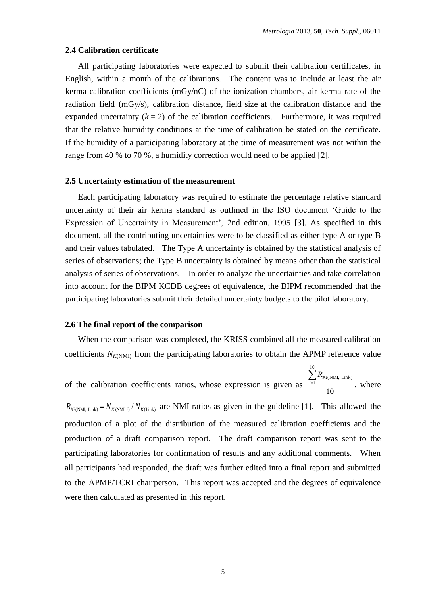#### **2.4 Calibration certificate**

All participating laboratories were expected to submit their calibration certificates, in English, within a month of the calibrations. The content was to include at least the air kerma calibration coefficients (mGy/nC) of the ionization chambers, air kerma rate of the radiation field (mGy/s), calibration distance, field size at the calibration distance and the expanded uncertainty  $(k = 2)$  of the calibration coefficients. Furthermore, it was required that the relative humidity conditions at the time of calibration be stated on the certificate. If the humidity of a participating laboratory at the time of measurement was not within the range from 40 % to 70 %, a humidity correction would need to be applied [2].

#### **2.5 Uncertainty estimation of the measurement**

Each participating laboratory was required to estimate the percentage relative standard uncertainty of their air kerma standard as outlined in the ISO document 'Guide to the Expression of Uncertainty in Measurement', 2nd edition, 1995 [3]. As specified in this document, all the contributing uncertainties were to be classified as either type A or type B and their values tabulated. The Type A uncertainty is obtained by the statistical analysis of series of observations; the Type B uncertainty is obtained by means other than the statistical analysis of series of observations. In order to analyze the uncertainties and take correlation into account for the BIPM KCDB degrees of equivalence, the BIPM recommended that the participating laboratories submit their detailed uncertainty budgets to the pilot laboratory.

#### **2.6 The final report of the comparison**

When the comparison was completed, the KRISS combined all the measured calibration coefficients  $N_{K(NM)}$  from the participating laboratories to obtain the APMP reference value

of the calibration coefficients ratios, whose expression is given as 10 10  $\sum_{i=1}$   $R_{Ki(NMI, Link)}$ , where

 $R_{Ki(NM, Link)} = N_{K(NM1 i)} / N_{K(Link)}$  are NMI ratios as given in the guideline [1]. This allowed the production of a plot of the distribution of the measured calibration coefficients and the production of a draft comparison report. The draft comparison report was sent to the participating laboratories for confirmation of results and any additional comments. When all participants had responded, the draft was further edited into a final report and submitted to the APMP/TCRI chairperson. This report was accepted and the degrees of equivalence were then calculated as presented in this report.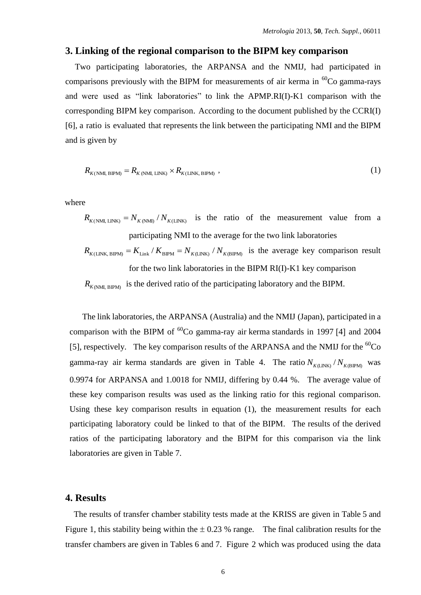## **3. Linking of the regional comparison to the BIPM key comparison**

Two participating laboratories, the ARPANSA and the NMIJ, had participated in comparisons previously with the BIPM for measurements of air kerma in  ${}^{60}Co$  gamma-rays and were used as "link laboratories" to link the APMP.RI(I)-K1 comparison with the corresponding BIPM key comparison. According to the document published by the CCRI(I) [6], a ratio is evaluated that represents the link between the participating NMI and the BIPM and is given by

$$
R_{K(NML, BIPM)} = R_{K(NML, LINK)} \times R_{K(LINK, BIPM)} \tag{1}
$$

where

 $R_{K(NMI, LINK)} = N_{K(NMI)} / N_{K(LINK)}$  is the ratio of the measurement value from a participating NMI to the average for the two link laboratories

$$
R_{K(LINK, BIPM)} = K_{Link} / K_{BIPM} = N_{K(LINK)} / N_{K(BIPM)}
$$
 is the average key comparison result  
for the two link laboratories in the BIPM RI(I)-K1 key comparison  

$$
R_{K(NML, BIPM)}
$$
 is the derived ratio of the participating laboratory and the BIPM.

The link laboratories, the ARPANSA (Australia) and the NMIJ (Japan), participated in a comparison with the BIPM of  ${}^{60}Co$  gamma-ray air kerma standards in 1997 [4] and 2004 [5], respectively. The key comparison results of the ARPANSA and the NMIJ for the  ${}^{60}Co$ gamma-ray air kerma standards are given in Table 4. The ratio  $N_{K(LINK)} / N_{K(BPM)}$  was 0.9974 for ARPANSA and 1.0018 for NMIJ, differing by 0.44 %. The average value of these key comparison results was used as the linking ratio for this regional comparison. Using these key comparison results in equation (1), the measurement results for each participating laboratory could be linked to that of the BIPM. The results of the derived ratios of the participating laboratory and the BIPM for this comparison via the link laboratories are given in Table 7.

#### **4. Results**

The results of transfer chamber stability tests made at the KRISS are given in Table 5 and Figure 1, this stability being within the  $\pm$  0.23 % range. The final calibration results for the transfer chambers are given in Tables 6 and 7. Figure 2 which was produced using the data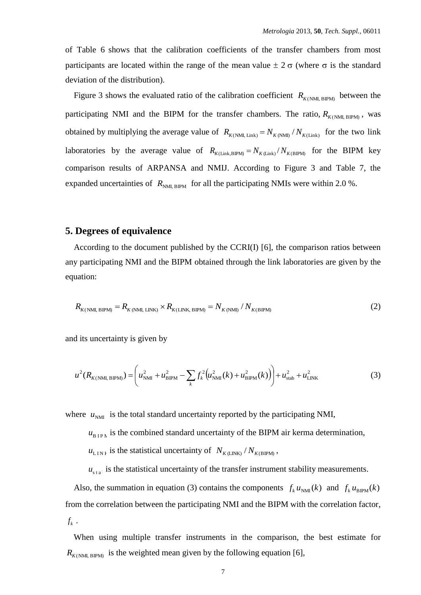of Table 6 shows that the calibration coefficients of the transfer chambers from most participants are located within the range of the mean value  $\pm 2 \sigma$  (where  $\sigma$  is the standard deviation of the distribution).

Figure 3 shows the evaluated ratio of the calibration coefficient  $R_{K(NM)_{\text{BIPM}}}$  between the participating NMI and the BIPM for the transfer chambers. The ratio,  $R_{K(NM, BIPM)}$ , was obtained by multiplying the average value of  $R_{K(NM,Link)} = N_{K(NM)} / N_{K(Link)}$  for the two link laboratories by the average value of  $R_{K(Link,BIPM)} = N_{K(Link)}/N_{K(BIPM)}$  for the BIPM key comparison results of ARPANSA and NMIJ. According to Figure 3 and Table 7, the expanded uncertainties of  $R_{NM, BIPM}$  for all the participating NMIs were within 2.0 %.

## **5. Degrees of equivalence**

According to the document published by the CCRI(I) [6], the comparison ratios between any participating NMI and the BIPM obtained through the link laboratories are given by the equation:

$$
R_{K(NML,BIPM)} = R_{K(NML,LINK)} \times R_{K(LINK,BIPM)} = N_{K(NML)} / N_{K(BIPM)}
$$
\n
$$
(2)
$$

and its uncertainty is given by

$$
u^{2}(R_{K(NM, BIPM)}) = \left(u_{NM}^{2} + u_{BIPM}^{2} - \sum_{k} f_{k}^{2}(u_{NM}^{2}(k) + u_{BIPM}^{2}(k))\right) + u_{stab}^{2} + u_{LINK}^{2}
$$
(3)

where  $u_{NMI}$  is the total standard uncertainty reported by the participating NMI,

 $u_{\text{BIPA}}$  is the combined standard uncertainty of the BIPM air kerma determination,

 $u_{\text{LIN}}$  is the statistical uncertainty of  $N_{K(\text{LINK})} / N_{K(\text{BPM})}$ ,

 $u_{\text{stat}}$  is the statistical uncertainty of the transfer instrument stability measurements.

Also, the summation in equation (3) contains the components  $f_k u_{NMI}(k)$  and  $f_k u_{BIPM}(k)$ from the correlation between the participating NMI and the BIPM with the correlation factor,  $f_k$  .

When using multiple transfer instruments in the comparison, the best estimate for  $R_{K(NM, BIPM)}$  is the weighted mean given by the following equation [6],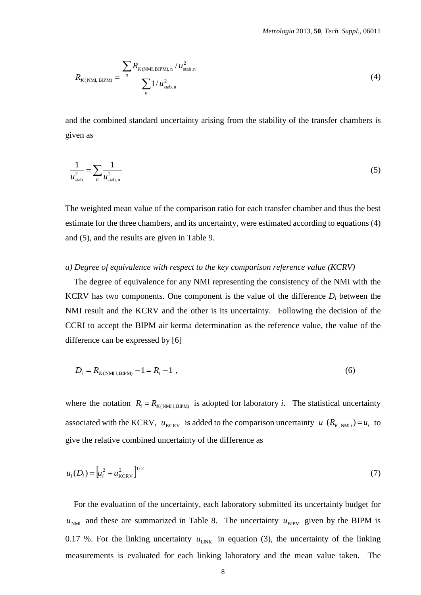$$
R_{K(NML, BIPM)} = \frac{\sum_{n} R_{K(NML, BIPM), n} / u_{\text{stab},n}^{2}}{\sum_{n} 1 / u_{\text{stab},n}^{2}}
$$
(4)

and the combined standard uncertainty arising from the stability of the transfer chambers is given as

$$
\frac{1}{u_{\text{stab}}^2} = \sum_{n} \frac{1}{u_{\text{stab},n}^2}
$$
 (5)

The weighted mean value of the comparison ratio for each transfer chamber and thus the best estimate for the three chambers, and its uncertainty, were estimated according to equations (4) and (5), and the results are given in Table 9.

#### *a) Degree of equivalence with respect to the key comparison reference value (KCRV)*

The degree of equivalence for any NMI representing the consistency of the NMI with the KCRV has two components. One component is the value of the difference  $D_i$  between the NMI result and the KCRV and the other is its uncertainty. Following the decision of the CCRI to accept the BIPM air kerma determination as the reference value, the value of the difference can be expressed by [6]

$$
D_i = R_{K(N\text{MI}i, \text{BIPM})} - 1 = R_i - 1 \tag{6}
$$

where the notation  $R_i = R_{K(NM i, BIP M)}$  is adopted for laboratory *i*. The statistical uncertainty associated with the KCRV,  $u_{\text{KCRV}}$  is added to the comparison uncertainty  $u$  ( $R_{K, NMI}$ ) =  $u_i$  to give the relative combined uncertainty of the difference as

$$
u_i(D_i) = \left[ u_i^2 + u_{\text{KCRV}}^2 \right]^{1/2} \tag{7}
$$

For the evaluation of the uncertainty, each laboratory submitted its uncertainty budget for  $u_{NML}$  and these are summarized in Table 8. The uncertainty  $u_{BIPM}$  given by the BIPM is 0.17 %. For the linking uncertainty  $u_{LINK}$  in equation (3), the uncertainty of the linking measurements is evaluated for each linking laboratory and the mean value taken. The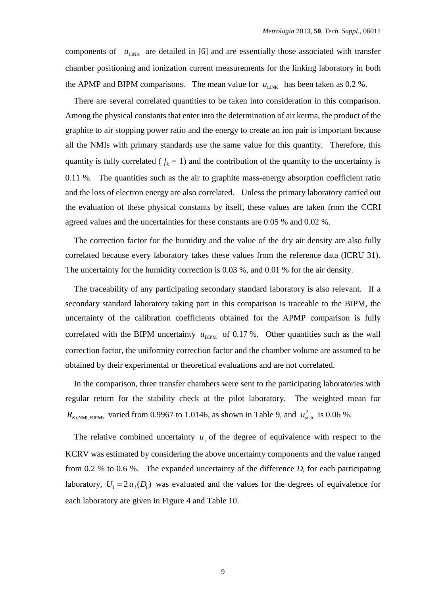components of  $u_{\text{LINK}}$  are detailed in [6] and are essentially those associated with transfer chamber positioning and ionization current measurements for the linking laboratory in both the APMP and BIPM comparisons. The mean value for  $u_{LINK}$  has been taken as 0.2 %.

There are several correlated quantities to be taken into consideration in this comparison. Among the physical constants that enter into the determination of air kerma, the product of the graphite to air stopping power ratio and the energy to create an ion pair is important because all the NMIs with primary standards use the same value for this quantity. Therefore, this quantity is fully correlated ( $f_k = 1$ ) and the contribution of the quantity to the uncertainty is 0.11 %. The quantities such as the air to graphite mass-energy absorption coefficient ratio and the loss of electron energy are also correlated. Unless the primary laboratory carried out the evaluation of these physical constants by itself, these values are taken from the CCRI agreed values and the uncertainties for these constants are 0.05 % and 0.02 %.

The correction factor for the humidity and the value of the dry air density are also fully correlated because every laboratory takes these values from the reference data (ICRU 31). The uncertainty for the humidity correction is 0.03 %, and 0.01 % for the air density.

The traceability of any participating secondary standard laboratory is also relevant. If a secondary standard laboratory taking part in this comparison is traceable to the BIPM, the uncertainty of the calibration coefficients obtained for the APMP comparison is fully correlated with the BIPM uncertainty  $u_{\text{BIPM}}$  of 0.17%. Other quantities such as the wall correction factor, the uniformity correction factor and the chamber volume are assumed to be obtained by their experimental or theoretical evaluations and are not correlated.

In the comparison, three transfer chambers were sent to the participating laboratories with regular return for the stability check at the pilot laboratory. The weighted mean for  $R_{K(NMI, BIPM)}$  varied from 0.9967 to 1.0146, as shown in Table 9, and  $u_{\text{stab}}^2$  is 0.06 %.

The relative combined uncertainty  $u_i$  of the degree of equivalence with respect to the KCRV was estimated by considering the above uncertainty components and the value ranged from 0.2 % to 0.6 %. The expanded uncertainty of the difference  $D_i$  for each participating laboratory,  $U_i = 2u_i(D_i)$  was evaluated and the values for the degrees of equivalence for each laboratory are given in Figure 4 and Table 10.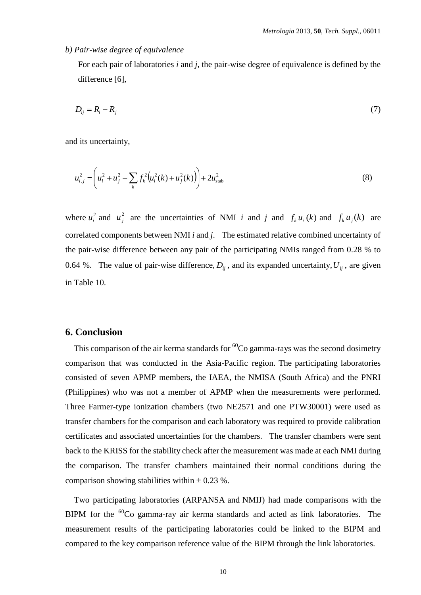#### *b) Pair-wise degree of equivalence*

For each pair of laboratories *i* and *j*, the pair-wise degree of equivalence is defined by the difference [6],

$$
D_{ij} = R_i - R_j \tag{7}
$$

and its uncertainty,

$$
u_{i,j}^{2} = \left(u_{i}^{2} + u_{j}^{2} - \sum_{k} f_{k}^{2} \left(u_{i}^{2}(k) + u_{j}^{2}(k)\right)\right) + 2u_{\text{stab}}^{2}
$$
\n(8)

where  $u_i^2$  and  $u_j^2$  are the uncertainties of NMI *i* and *j* and  $f_k u_i(k)$  and  $f_k u_j(k)$  are correlated components between NMI *i* and *j*. The estimated relative combined uncertainty of the pair-wise difference between any pair of the participating NMIs ranged from 0.28 % to 0.64 %. The value of pair-wise difference,  $D_{ij}$ , and its expanded uncertainty,  $U_{ij}$ , are given in Table 10.

### **6. Conclusion**

This comparison of the air kerma standards for  ${}^{60}Co$  gamma-rays was the second dosimetry comparison that was conducted in the Asia-Pacific region. The participating laboratories consisted of seven APMP members, the IAEA, the NMISA (South Africa) and the PNRI (Philippines) who was not a member of APMP when the measurements were performed. Three Farmer-type ionization chambers (two NE2571 and one PTW30001) were used as transfer chambers for the comparison and each laboratory was required to provide calibration certificates and associated uncertainties for the chambers. The transfer chambers were sent back to the KRISS for the stability check after the measurement was made at each NMI during the comparison. The transfer chambers maintained their normal conditions during the comparison showing stabilities within  $\pm$  0.23 %.

Two participating laboratories (ARPANSA and NMIJ) had made comparisons with the BIPM for the <sup>60</sup>Co gamma-ray air kerma standards and acted as link laboratories. The measurement results of the participating laboratories could be linked to the BIPM and compared to the key comparison reference value of the BIPM through the link laboratories.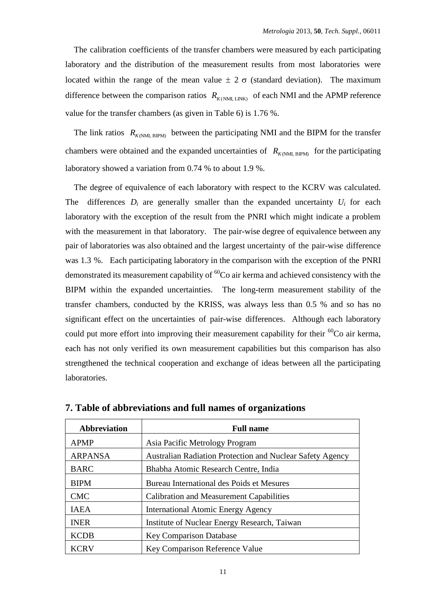The calibration coefficients of the transfer chambers were measured by each participating laboratory and the distribution of the measurement results from most laboratories were located within the range of the mean value  $\pm 2 \sigma$  (standard deviation). The maximum difference between the comparison ratios  $R_{K(NM, LINK)}$  of each NMI and the APMP reference value for the transfer chambers (as given in Table 6) is 1.76 %.

The link ratios  $R_{K(NM)$ , BIPM) between the participating NMI and the BIPM for the transfer chambers were obtained and the expanded uncertainties of  $R_{K(NM, BIPM)}$  for the participating laboratory showed a variation from 0.74 % to about 1.9 %.

The degree of equivalence of each laboratory with respect to the KCRV was calculated. The differences  $D_i$  are generally smaller than the expanded uncertainty  $U_i$  for each laboratory with the exception of the result from the PNRI which might indicate a problem with the measurement in that laboratory. The pair-wise degree of equivalence between any pair of laboratories was also obtained and the largest uncertainty of the pair-wise difference was 1.3 %. Each participating laboratory in the comparison with the exception of the PNRI demonstrated its measurement capability of  ${}^{60}Co$  air kerma and achieved consistency with the BIPM within the expanded uncertainties. The long-term measurement stability of the transfer chambers, conducted by the KRISS, was always less than 0.5 % and so has no significant effect on the uncertainties of pair-wise differences. Although each laboratory could put more effort into improving their measurement capability for their  ${}^{60}Co$  air kerma, each has not only verified its own measurement capabilities but this comparison has also strengthened the technical cooperation and exchange of ideas between all the participating laboratories.

| <b>Abbreviation</b> | <b>Full name</b>                                                 |
|---------------------|------------------------------------------------------------------|
| <b>APMP</b>         | Asia Pacific Metrology Program                                   |
| <b>ARPANSA</b>      | <b>Australian Radiation Protection and Nuclear Safety Agency</b> |
| <b>BARC</b>         | Bhabha Atomic Research Centre, India                             |
| <b>BIPM</b>         | Bureau International des Poids et Mesures                        |
| <b>CMC</b>          | <b>Calibration and Measurement Capabilities</b>                  |
| <b>IAEA</b>         | <b>International Atomic Energy Agency</b>                        |
| <b>INER</b>         | Institute of Nuclear Energy Research, Taiwan                     |
| <b>KCDB</b>         | <b>Key Comparison Database</b>                                   |
| <b>KCRV</b>         | Key Comparison Reference Value                                   |

**7. Table of abbreviations and full names of organizations**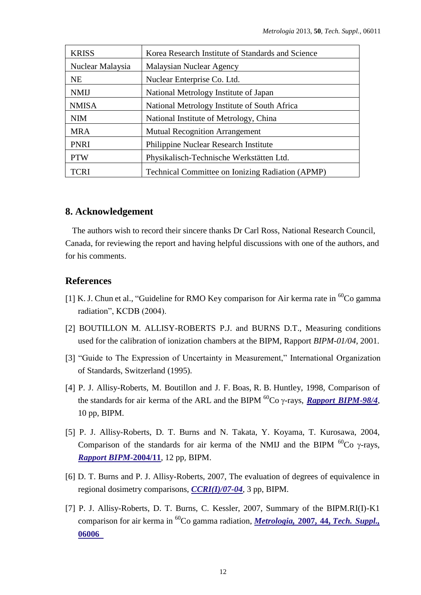| <b>KRISS</b>     | Korea Research Institute of Standards and Science       |
|------------------|---------------------------------------------------------|
| Nuclear Malaysia | Malaysian Nuclear Agency                                |
| <b>NE</b>        | Nuclear Enterprise Co. Ltd.                             |
| <b>NMIJ</b>      | National Metrology Institute of Japan                   |
| <b>NMISA</b>     | National Metrology Institute of South Africa            |
| <b>NIM</b>       | National Institute of Metrology, China                  |
| <b>MRA</b>       | <b>Mutual Recognition Arrangement</b>                   |
| <b>PNRI</b>      | <b>Philippine Nuclear Research Institute</b>            |
| <b>PTW</b>       | Physikalisch-Technische Werkstätten Ltd.                |
| <b>TCRI</b>      | <b>Technical Committee on Ionizing Radiation (APMP)</b> |

### **8. Acknowledgement**

The authors wish to record their sincere thanks Dr Carl Ross, National Research Council, Canada, for reviewing the report and having helpful discussions with one of the authors, and for his comments.

#### **References**

- [1] K. J. Chun et al., "Guideline for RMO Key comparison for Air kerma rate in  ${}^{60}$ Co gamma radiation", KCDB (2004).
- [2] BOUTILLON M. ALLISY-ROBERTS P.J. and BURNS D.T., Measuring conditions used for the calibration of ionization chambers at the BIPM, Rapport *BIPM-01/04*, 2001.
- 3 "Guide to The Expression of Uncertainty in Measurement," International Organization of Standards, Switzerland (1995).
- [4] P. J. Allisy-Roberts, M. Boutillon and J. F. Boas, R. B. Huntley, 1998, Comparison of the standards for air kerma of the ARL and the BIPM  ${}^{60}Co$   $\gamma$ -rays, *[Rapport BIPM](https://www.bipm.org/utils/common/pdf/rapportBIPM/1998/04.pdf)*-98/4, 10 pp, BIPM.
- [5] P. J. Allisy-Roberts, D. T. Burns and N. Takata, Y. Koyama, T. Kurosawa, 2004, Comparison of the standards for air kerma of the NMIJ and the BIPM  ${}^{60}$ Co  $\gamma$ -rays, *[Rapport BIPM-](https://www.bipm.org/utils/common/pdf/rapportBIPM/2004/11.pdf)***2004/11**, 12 pp, BIPM.
- [6] D. T. Burns and P. J. Allisy-Roberts, 2007, The evaluation of degrees of equivalence in regional dosimetry comparisons, *[CCRI\(I\)/07-04](https://www.bipm.org/cc/CCRI(I)/Allowed/18/CCRI(I)07-04.pdf)*, 3 pp, BIPM.
- [7] P. J. Allisy-Roberts, D. T. Burns, C. Kessler, 2007, Summary of the BIPM.RI(I)-K1 comparison for air kerma in <sup>60</sup>Co gamma radiation, *Metrologia,* **2007, 44,** *[Tech. Suppl.,](http://stacks.iop.org/0026-1394/44/06006)* **[06006](http://stacks.iop.org/0026-1394/44/06006)**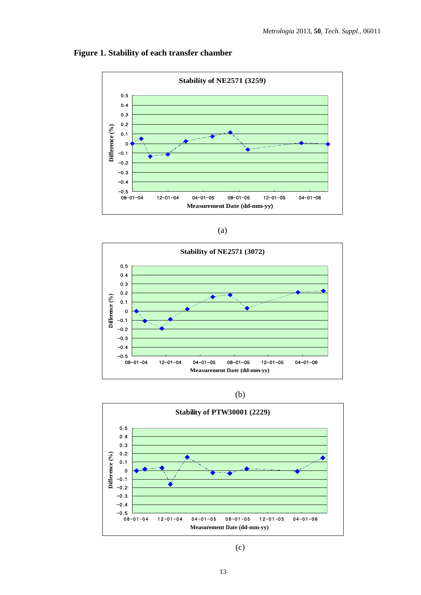



| v<br>×<br>٠ |
|-------------|







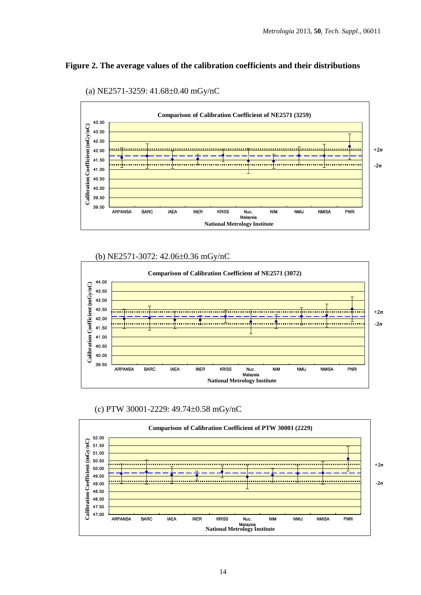#### **Figure 2. The average values of the calibration coefficients and their distributions**





(b) NE2571-3072: 42.06±0.36 mGy/nC



(c) PTW 30001-2229: 49.74 $\pm$ 0.58 mGy/nC

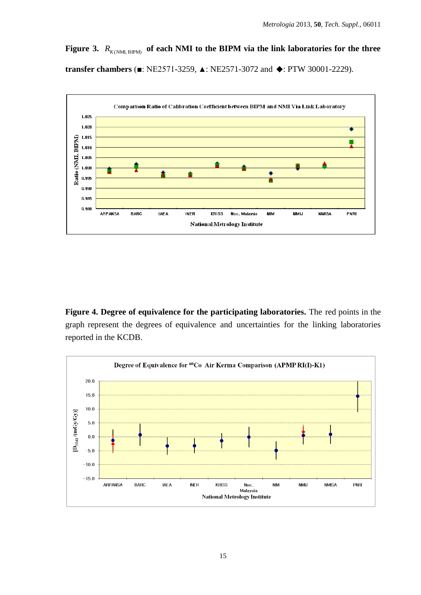Figure 3.  $R_{K(NM, BIPM)}$  of each NMI to the BIPM via the link laboratories for the three **transfer chambers** (■: NE2571-3259, ▲: NE2571-3072 and ◆: PTW 30001-2229).



**Figure 4. Degree of equivalence for the participating laboratories.** The red points in the graph represent the degrees of equivalence and uncertainties for the linking laboratories reported in the KCDB.

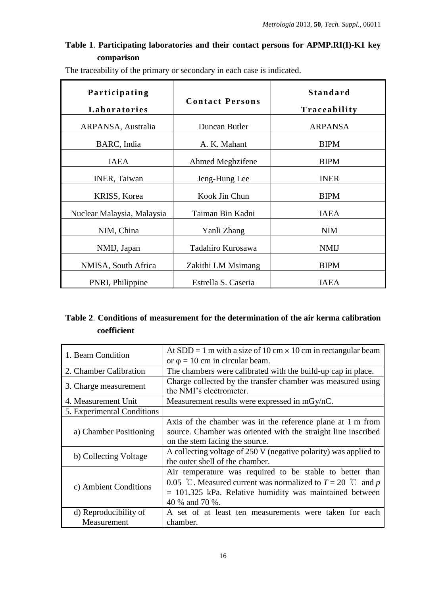## **Table 1**. **Participating laboratories and their contact persons for APMP.RI(I)-K1 key comparison**

| The traceability of the primary or secondary in each case is indicated. |
|-------------------------------------------------------------------------|
|-------------------------------------------------------------------------|

| Participating<br>Laboratories | <b>Contact Persons</b> | <b>Standard</b><br>Traceability |
|-------------------------------|------------------------|---------------------------------|
| ARPANSA, Australia            | Duncan Butler          | <b>ARPANSA</b>                  |
| BARC, India                   | A. K. Mahant           | <b>BIPM</b>                     |
| <b>IAEA</b>                   | Ahmed Meghzifene       | <b>BIPM</b>                     |
| INER, Taiwan                  | Jeng-Hung Lee          | <b>INER</b>                     |
| <b>KRISS, Korea</b>           | Kook Jin Chun          | <b>BIPM</b>                     |
| Nuclear Malaysia, Malaysia    | Taiman Bin Kadni       | <b>IAEA</b>                     |
| NIM, China                    | Yanli Zhang            | <b>NIM</b>                      |
| NMIJ, Japan                   | Tadahiro Kurosawa      | <b>NMIJ</b>                     |
| NMISA, South Africa           | Zakithi LM Msimang     | <b>BIPM</b>                     |
| PNRI, Philippine              | Estrella S. Caseria    | <b>IAEA</b>                     |

## **Table 2**. **Conditions of measurement for the determination of the air kerma calibration coefficient**

| 1. Beam Condition          | At SDD = 1 m with a size of 10 cm $\times$ 10 cm in rectangular beam |
|----------------------------|----------------------------------------------------------------------|
|                            | or $\varphi = 10$ cm in circular beam.                               |
| 2. Chamber Calibration     | The chambers were calibrated with the build-up cap in place.         |
|                            | Charge collected by the transfer chamber was measured using          |
| 3. Charge measurement      | the NMI's electrometer.                                              |
| 4. Measurement Unit        | Measurement results were expressed in mGy/nC.                        |
| 5. Experimental Conditions |                                                                      |
|                            | Axis of the chamber was in the reference plane at 1 m from           |
| a) Chamber Positioning     | source. Chamber was oriented with the straight line inscribed        |
|                            | on the stem facing the source.                                       |
| b) Collecting Voltage      | A collecting voltage of 250 V (negative polarity) was applied to     |
|                            | the outer shell of the chamber.                                      |
|                            | Air temperature was required to be stable to better than             |
| c) Ambient Conditions      | 0.05 °C. Measured current was normalized to $T = 20$ °C and p        |
|                            | $= 101.325$ kPa. Relative humidity was maintained between            |
|                            | 40 % and 70 %.                                                       |
| d) Reproducibility of      | A set of at least ten measurements were taken for each               |
| Measurement                | chamber.                                                             |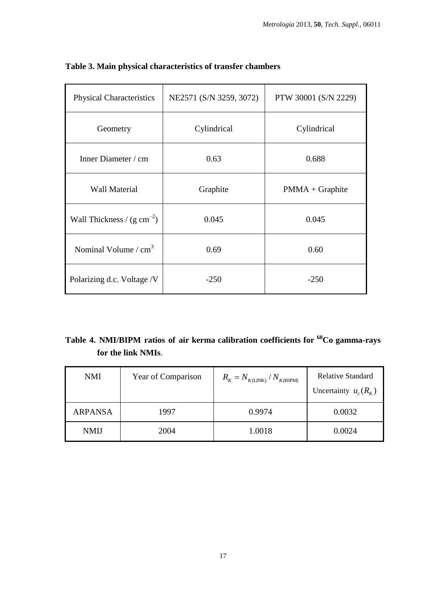| <b>Physical Characteristics</b> | NE2571 (S/N 3259, 3072) | PTW 30001 (S/N 2229) |  |
|---------------------------------|-------------------------|----------------------|--|
| Geometry                        | Cylindrical             | Cylindrical          |  |
| Inner Diameter / cm             | 0.63                    | 0.688                |  |
| <b>Wall Material</b>            | Graphite                | $PMMA + Graphite$    |  |
| Wall Thickness / $(g cm^{-2})$  | 0.045                   | 0.045                |  |
| Nominal Volume $/cm3$           | 0.69                    | 0.60                 |  |
| Polarizing d.c. Voltage /V      | $-250$                  | $-250$               |  |

## **Table 3. Main physical characteristics of transfer chambers**

## **Table 4. NMI/BIPM ratios of air kerma calibration coefficients for <sup>60</sup>Co gamma-rays for the link NMIs**.

| <b>NMI</b>     | Year of Comparison | $R_{K} = N_{K(\text{LINK})} / N_{K(\text{BIPM})}$ | Relative Standard<br>Uncertainty $u_c(R_k)$ |
|----------------|--------------------|---------------------------------------------------|---------------------------------------------|
| <b>ARPANSA</b> | 1997               | 0.9974                                            | 0.0032                                      |
| <b>NMIJ</b>    | 2004               | 1.0018                                            | 0.0024                                      |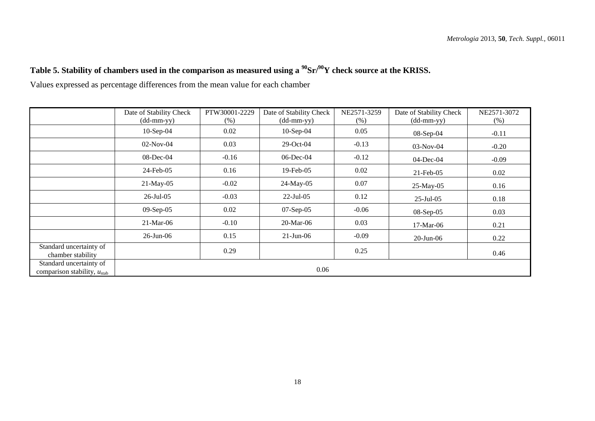# **Table 5. Stability of chambers used in the comparison as measured using a <sup>90</sup>Sr/<sup>90</sup>Y check source at the KRISS.**

Values expressed as percentage differences from the mean value for each chamber

|                                                             | Date of Stability Check                     | PTW30001-2229 | Date of Stability Check    | NE2571-3259 | Date of Stability Check | NE2571-3072 |
|-------------------------------------------------------------|---------------------------------------------|---------------|----------------------------|-------------|-------------------------|-------------|
|                                                             | $(dd{\text{-}\!\!\,\text{mm-}}\mathrm{yy})$ | $(\%)$        | $(dd\text{-}mm\text{-}yy)$ | $(\%)$      | $(dd-mm-yy)$            | $(\%)$      |
|                                                             | $10-Sep-04$                                 | 0.02          | $10-Sep-04$                | 0.05        | $08-Sep-04$             | $-0.11$     |
|                                                             | $02-Nov-04$                                 | 0.03          | $29$ -Oct-04               | $-0.13$     | $03-Nov-04$             | $-0.20$     |
|                                                             | 08-Dec-04                                   | $-0.16$       | $06$ -Dec-04               | $-0.12$     | $04$ -Dec-04            | $-0.09$     |
|                                                             | 24-Feb-05                                   | 0.16          | $19$ -Feb-05               | 0.02        | $21$ -Feb-05            | 0.02        |
|                                                             | $21$ -May-05                                | $-0.02$       | 24-May-05                  | 0.07        | $25$ -May-05            | 0.16        |
|                                                             | $26$ -Jul-05                                | $-0.03$       | $22$ -Jul-05               | 0.12        | $25$ -Jul-05            | 0.18        |
|                                                             | $09-Sep-05$                                 | 0.02          | $07-Sep-05$                | $-0.06$     | $08-Sep-05$             | 0.03        |
|                                                             | 21-Mar-06                                   | $-0.10$       | 20-Mar-06                  | 0.03        | $17-Mar-06$             | 0.21        |
|                                                             | $26$ -Jun-06                                | 0.15          | $21$ -Jun-06               | $-0.09$     | $20$ -Jun- $06$         | 0.22        |
| Standard uncertainty of<br>chamber stability                |                                             | 0.29          |                            | 0.25        |                         | 0.46        |
| Standard uncertainty of<br>comparison stability, $u_{stab}$ |                                             |               | 0.06                       |             |                         |             |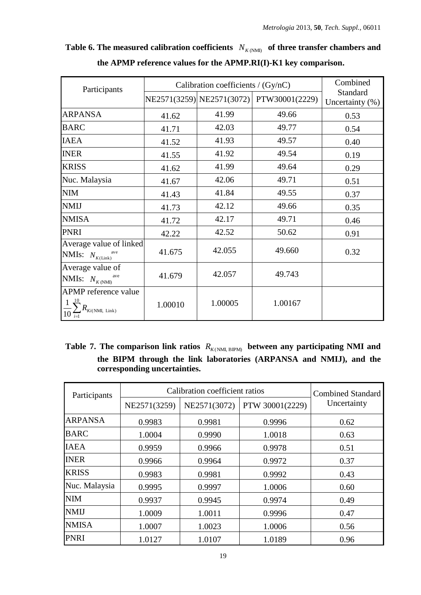| Participants                                                       | Calibration coefficients / (Gy/nC) | Combined                  |                |                                |
|--------------------------------------------------------------------|------------------------------------|---------------------------|----------------|--------------------------------|
|                                                                    |                                    | NE2571(3259) NE2571(3072) | PTW30001(2229) | Standard<br>Uncertainty $(\%)$ |
| <b>ARPANSA</b>                                                     | 41.62                              | 41.99                     | 49.66          | 0.53                           |
| <b>BARC</b>                                                        | 41.71                              | 42.03                     | 49.77          | 0.54                           |
| <b>IAEA</b>                                                        | 41.52                              | 41.93                     | 49.57          | 0.40                           |
| <b>INER</b>                                                        | 41.55                              | 41.92                     | 49.54          | 0.19                           |
| <b>KRISS</b>                                                       | 41.62                              | 41.99                     | 49.64          | 0.29                           |
| Nuc. Malaysia                                                      | 41.67                              | 42.06                     | 49.71          | 0.51                           |
| <b>NIM</b>                                                         | 41.43                              | 41.84                     | 49.55          | 0.37                           |
| <b>NMIJ</b>                                                        | 41.73                              | 42.12                     | 49.66          | 0.35                           |
| <b>NMISA</b>                                                       | 41.72                              | 42.17                     | 49.71          | 0.46                           |
| <b>PNRI</b>                                                        | 42.22                              | 42.52                     | 50.62          | 0.91                           |
| Average value of linked<br>NMIs: $N_{K(\text{Link})}^{\text{ave}}$ | 41.675                             | 42.055                    | 49.660         | 0.32                           |
| Average value of<br>NMIs: $N_{K(NM)}^{\text{ave}}$                 | 41.679                             | 42.057                    | 49.743         |                                |
| APMP reference value<br>$R_{\textit{Ki(NMI, Link)}}$               | 1.00010                            | 1.00005                   | 1.00167        |                                |

Table 6. The measured calibration coefficients  $N_{K(NM)}$  of three transfer chambers and **the APMP reference values for the APMP.RI(I)-K1 key comparison.**

Table 7. The comparison link ratios  $R_{K(NM, BIPM)}$  between any participating NMI and **the BIPM through the link laboratories (ARPANSA and NMIJ), and the corresponding uncertainties.**

| Participants   | Calibration coefficient ratios | <b>Combined Standard</b> |                 |             |
|----------------|--------------------------------|--------------------------|-----------------|-------------|
|                | NE2571(3259)                   | NE2571(3072)             | PTW 30001(2229) | Uncertainty |
| <b>ARPANSA</b> | 0.9983                         | 0.9981                   | 0.9996          | 0.62        |
| <b>BARC</b>    | 1.0004                         | 0.9990                   | 1.0018          | 0.63        |
| <b>IAEA</b>    | 0.9959                         | 0.9966                   | 0.9978          | 0.51        |
| <b>INER</b>    | 0.9966                         | 0.9964                   | 0.9972          | 0.37        |
| <b>KRISS</b>   | 0.9983                         | 0.9981                   | 0.9992          | 0.43        |
| Nuc. Malaysia  | 0.9995                         | 0.9997                   | 1.0006          | 0.60        |
| <b>NIM</b>     | 0.9937                         | 0.9945                   | 0.9974          | 0.49        |
| <b>NMIJ</b>    | 1.0009                         | 1.0011                   | 0.9996          | 0.47        |
| <b>NMISA</b>   | 1.0007                         | 1.0023                   | 1.0006          | 0.56        |
| <b>PNRI</b>    | 1.0127                         | 1.0107                   | 1.0189          | 0.96        |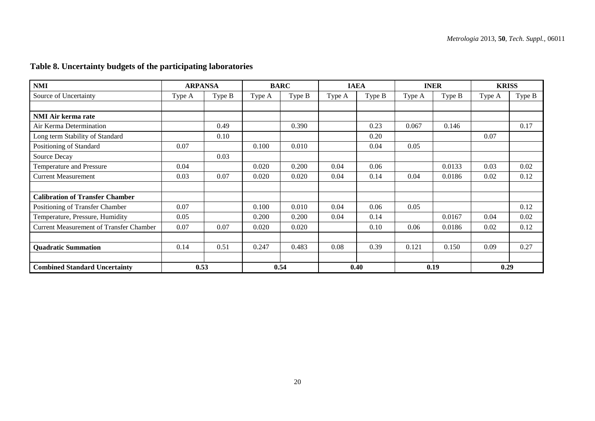## **Table 8. Uncertainty budgets of the participating laboratories**

| $NMI$                                          | <b>ARPANSA</b> |        | <b>BARC</b> |        | <b>IAEA</b> |        | <b>INER</b> |        | <b>KRISS</b> |        |
|------------------------------------------------|----------------|--------|-------------|--------|-------------|--------|-------------|--------|--------------|--------|
| Source of Uncertainty                          | Type A         | Type B | Type A      | Type B | Type A      | Type B | Type A      | Type B | Type A       | Type B |
|                                                |                |        |             |        |             |        |             |        |              |        |
| <b>NMI Air kerma rate</b>                      |                |        |             |        |             |        |             |        |              |        |
| Air Kerma Determination                        |                | 0.49   |             | 0.390  |             | 0.23   | 0.067       | 0.146  |              | 0.17   |
| Long term Stability of Standard                |                | 0.10   |             |        |             | 0.20   |             |        | 0.07         |        |
| Positioning of Standard                        | 0.07           |        | 0.100       | 0.010  |             | 0.04   | 0.05        |        |              |        |
| Source Decay                                   |                | 0.03   |             |        |             |        |             |        |              |        |
| Temperature and Pressure                       | 0.04           |        | 0.020       | 0.200  | 0.04        | 0.06   |             | 0.0133 | 0.03         | 0.02   |
| <b>Current Measurement</b>                     | 0.03           | 0.07   | 0.020       | 0.020  | 0.04        | 0.14   | 0.04        | 0.0186 | 0.02         | 0.12   |
|                                                |                |        |             |        |             |        |             |        |              |        |
| <b>Calibration of Transfer Chamber</b>         |                |        |             |        |             |        |             |        |              |        |
| Positioning of Transfer Chamber                | 0.07           |        | 0.100       | 0.010  | 0.04        | 0.06   | 0.05        |        |              | 0.12   |
| Temperature, Pressure, Humidity                | 0.05           |        | 0.200       | 0.200  | 0.04        | 0.14   |             | 0.0167 | 0.04         | 0.02   |
| <b>Current Measurement of Transfer Chamber</b> | 0.07           | 0.07   | 0.020       | 0.020  |             | 0.10   | 0.06        | 0.0186 | 0.02         | 0.12   |
|                                                |                |        |             |        |             |        |             |        |              |        |
| <b>Quadratic Summation</b>                     | 0.14           | 0.51   | 0.247       | 0.483  | 0.08        | 0.39   | 0.121       | 0.150  | 0.09         | 0.27   |
|                                                |                |        |             |        |             |        |             |        |              |        |
| <b>Combined Standard Uncertainty</b>           | 0.53           |        | 0.54        |        | 0.40        |        | 0.19        |        | 0.29         |        |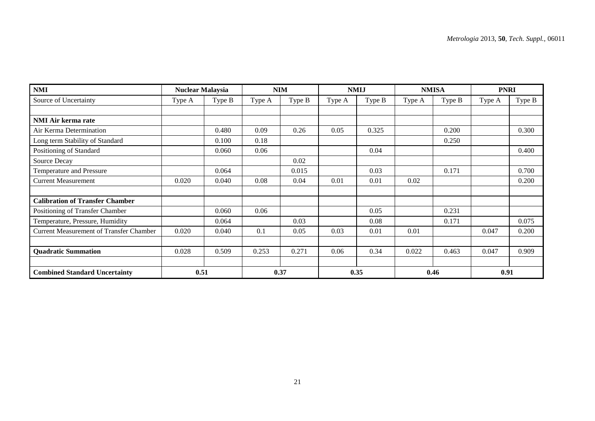| <b>NMI</b>                                     | <b>Nuclear Malaysia</b> |        | <b>NIM</b> |        | <b>NMIJ</b> |        | <b>NMISA</b> |        | <b>PNRI</b> |        |
|------------------------------------------------|-------------------------|--------|------------|--------|-------------|--------|--------------|--------|-------------|--------|
| Source of Uncertainty                          | Type A                  | Type B | Type A     | Type B | Type A      | Type B | Type A       | Type B | Type A      | Type B |
|                                                |                         |        |            |        |             |        |              |        |             |        |
| <b>NMI Air kerma rate</b>                      |                         |        |            |        |             |        |              |        |             |        |
| Air Kerma Determination                        |                         | 0.480  | 0.09       | 0.26   | 0.05        | 0.325  |              | 0.200  |             | 0.300  |
| Long term Stability of Standard                |                         | 0.100  | 0.18       |        |             |        |              | 0.250  |             |        |
| Positioning of Standard                        |                         | 0.060  | 0.06       |        |             | 0.04   |              |        |             | 0.400  |
| Source Decay                                   |                         |        |            | 0.02   |             |        |              |        |             |        |
| Temperature and Pressure                       |                         | 0.064  |            | 0.015  |             | 0.03   |              | 0.171  |             | 0.700  |
| <b>Current Measurement</b>                     | 0.020                   | 0.040  | 0.08       | 0.04   | 0.01        | 0.01   | 0.02         |        |             | 0.200  |
|                                                |                         |        |            |        |             |        |              |        |             |        |
| <b>Calibration of Transfer Chamber</b>         |                         |        |            |        |             |        |              |        |             |        |
| Positioning of Transfer Chamber                |                         | 0.060  | 0.06       |        |             | 0.05   |              | 0.231  |             |        |
| Temperature, Pressure, Humidity                |                         | 0.064  |            | 0.03   |             | 0.08   |              | 0.171  |             | 0.075  |
| <b>Current Measurement of Transfer Chamber</b> | 0.020                   | 0.040  | 0.1        | 0.05   | 0.03        | 0.01   | 0.01         |        | 0.047       | 0.200  |
|                                                |                         |        |            |        |             |        |              |        |             |        |
| <b>Quadratic Summation</b>                     | 0.028                   | 0.509  | 0.253      | 0.271  | 0.06        | 0.34   | 0.022        | 0.463  | 0.047       | 0.909  |
|                                                |                         |        |            |        |             |        |              |        |             |        |
| <b>Combined Standard Uncertainty</b>           | 0.51                    |        |            | 0.37   |             | 0.35   |              | 0.46   | 0.91        |        |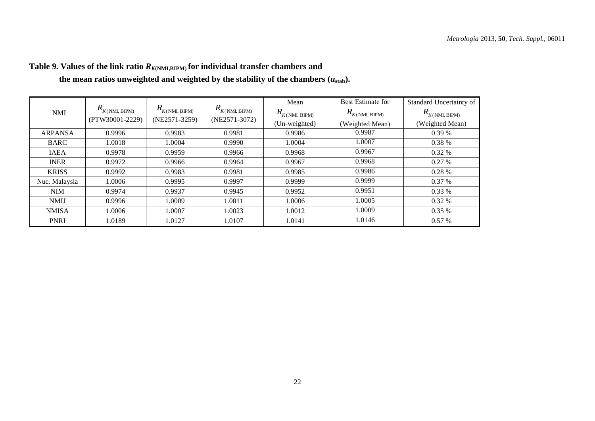|                |                           | $R_{\rm {\it K(NMI}, \, BIPM)}$ |                                       | Mean                      | <b>Best Estimate for</b>  | Standard Uncertainty of      |
|----------------|---------------------------|---------------------------------|---------------------------------------|---------------------------|---------------------------|------------------------------|
| <b>NMI</b>     | $R_{\rm K(NMI, \, BIPM)}$ |                                 | $R_{K(\mathrm{NMI},\ \mathrm{BIPM})}$ | $R_{\rm K(NMI, \; BIPM)}$ | $R_{\rm K(NMI, \; BIPM)}$ | $R_{\rm {\it K(NMI, BIPM)}}$ |
|                | (PTW30001-2229)           | $(NE2571-3259)$                 | (NE2571-3072)                         | (Un-weighted)             | (Weighted Mean)           | (Weighted Mean)              |
| <b>ARPANSA</b> | 0.9996                    | 0.9983                          | 0.9981                                | 0.9986                    | 0.9987                    | 0.39%                        |
| <b>BARC</b>    | 1.0018                    | 1.0004                          | 0.9990                                | 1.0004                    | 1.0007                    | 0.38%                        |
| <b>IAEA</b>    | 0.9978                    | 0.9959                          | 0.9966                                | 0.9968                    | 0.9967                    | $0.32\%$                     |
| <b>INER</b>    | 0.9972                    | 0.9966                          | 0.9964                                | 0.9967                    | 0.9968                    | 0.27%                        |
| <b>KRISS</b>   | 0.9992                    | 0.9983                          | 0.9981                                | 0.9985                    | 0.9986                    | 0.28%                        |
| Nuc. Malaysia  | 1.0006                    | 0.9995                          | 0.9997                                | 0.9999                    | 0.9999                    | $0.37\%$                     |
| <b>NIM</b>     | 0.9974                    | 0.9937                          | 0.9945                                | 0.9952                    | 0.9951                    | 0.33%                        |
| <b>NMIJ</b>    | 0.9996                    | 1.0009                          | 1.0011                                | 1.0006                    | 1.0005                    | $0.32\%$                     |
| <b>NMISA</b>   | 1.0006                    | 1.0007                          | 1.0023                                | 1.0012                    | 1.0009                    | $0.35\%$                     |
| <b>PNRI</b>    | 1.0189                    | 1.0127                          | 1.0107                                | 1.0141                    | 1.0146                    | 0.57%                        |

## **Table 9. Values of the link ratio** *RK***(NMI,BIPM) for individual transfer chambers and**

the mean ratios unweighted and weighted by the stability of the chambers  $(u_{stab})$ .